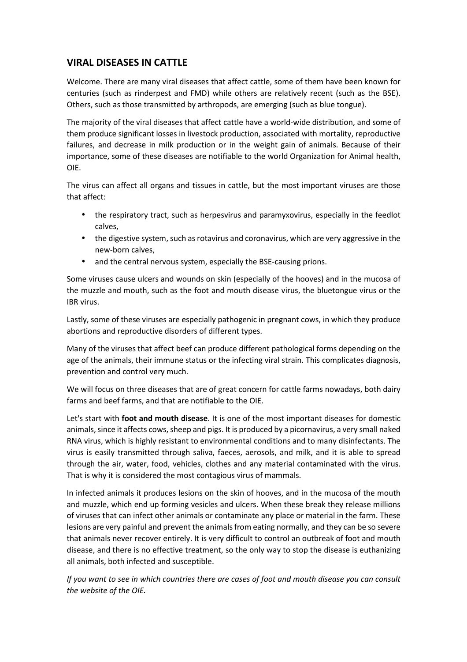## **VIRAL DISEASES IN CATTLE**

Welcome. There are many viral diseases that affect cattle, some of them have been known for centuries (such as rinderpest and FMD) while others are relatively recent (such as the BSE). Others, such as those transmitted by arthropods, are emerging (such as blue tongue).

The majority of the viral diseases that affect cattle have a world-wide distribution, and some of them produce significant losses in livestock production, associated with mortality, reproductive failures, and decrease in milk production or in the weight gain of animals. Because of their importance, some of these diseases are notifiable to the world Organization for Animal health, OIE.

The virus can affect all organs and tissues in cattle, but the most important viruses are those that affect:

- the respiratory tract, such as herpesvirus and paramyxovirus, especially in the feedlot calves,
- the digestive system, such as rotavirus and coronavirus, which are very aggressive in the new-born calves,
- and the central nervous system, especially the BSE-causing prions.

Some viruses cause ulcers and wounds on skin (especially of the hooves) and in the mucosa of the muzzle and mouth, such as the foot and mouth disease virus, the bluetongue virus or the IBR virus.

Lastly, some of these viruses are especially pathogenic in pregnant cows, in which they produce abortions and reproductive disorders of different types.

Many of the viruses that affect beef can produce different pathological forms depending on the age of the animals, their immune status or the infecting viral strain. This complicates diagnosis, prevention and control very much.

We will focus on three diseases that are of great concern for cattle farms nowadays, both dairy farms and beef farms, and that are notifiable to the OIE.

Let's start with **foot and mouth disease**. It is one of the most important diseases for domestic animals, since it affects cows, sheep and pigs. It is produced by a picornavirus, a very small naked RNA virus, which is highly resistant to environmental conditions and to many disinfectants. The virus is easily transmitted through saliva, faeces, aerosols, and milk, and it is able to spread through the air, water, food, vehicles, clothes and any material contaminated with the virus. That is why it is considered the most contagious virus of mammals.

In infected animals it produces lesions on the skin of hooves, and in the mucosa of the mouth and muzzle, which end up forming vesicles and ulcers. When these break they release millions of viruses that can infect other animals or contaminate any place or material in the farm. These lesions are very painful and prevent the animals from eating normally, and they can be so severe that animals never recover entirely. It is very difficult to control an outbreak of foot and mouth disease, and there is no effective treatment, so the only way to stop the disease is euthanizing all animals, both infected and susceptible.

*If you want to see in which countries there are cases of foot and mouth disease you can consult the website of the OIE.*